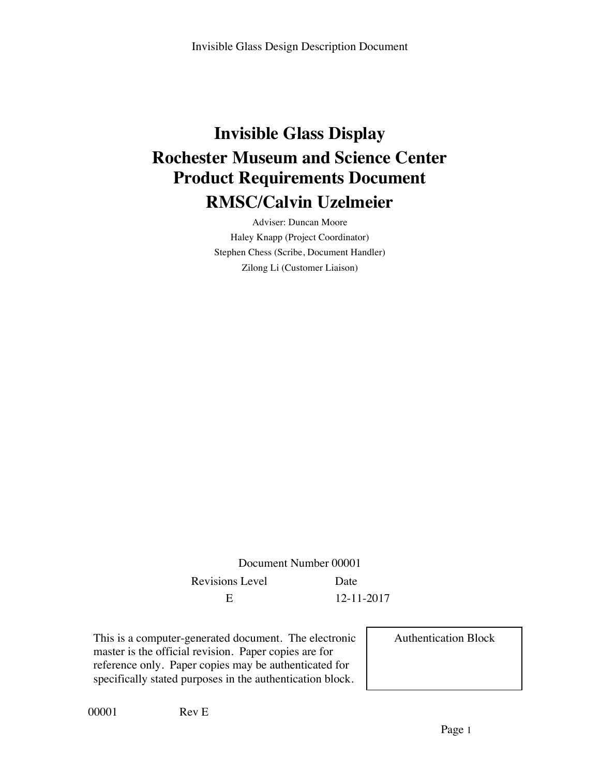# **Invisible Glass Display Rochester Museum and Science Center Product Requirements Document RMSC/Calvin Uzelmeier**

Adviser: Duncan Moore Haley Knapp (Project Coordinator) Stephen Chess (Scribe, Document Handler) Zilong Li (Customer Liaison)

Document Number 00001 Revisions Level Date E 12-11-2017

This is a computer-generated document. The electronic master is the official revision. Paper copies are for reference only. Paper copies may be authenticated for specifically stated purposes in the authentication block.

Authentication Block

00001 Rev E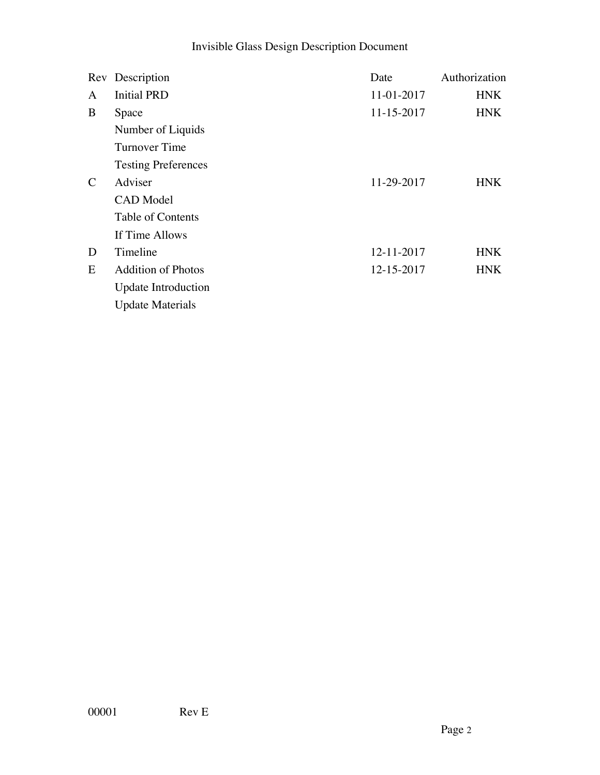## Invisible Glass Design Description Document

|               | Rev Description            | Date       | Authorization |
|---------------|----------------------------|------------|---------------|
| A             | <b>Initial PRD</b>         | 11-01-2017 | <b>HNK</b>    |
| B             | Space                      | 11-15-2017 | <b>HNK</b>    |
|               | Number of Liquids          |            |               |
|               | Turnover Time              |            |               |
|               | <b>Testing Preferences</b> |            |               |
| $\mathcal{C}$ | Adviser                    | 11-29-2017 | HNK.          |
|               | <b>CAD</b> Model           |            |               |
|               | Table of Contents          |            |               |
|               | If Time Allows             |            |               |
| D             | Timeline                   | 12-11-2017 | <b>HNK</b>    |
| E             | <b>Addition of Photos</b>  | 12-15-2017 | <b>HNK</b>    |
|               | <b>Update Introduction</b> |            |               |
|               | <b>Update Materials</b>    |            |               |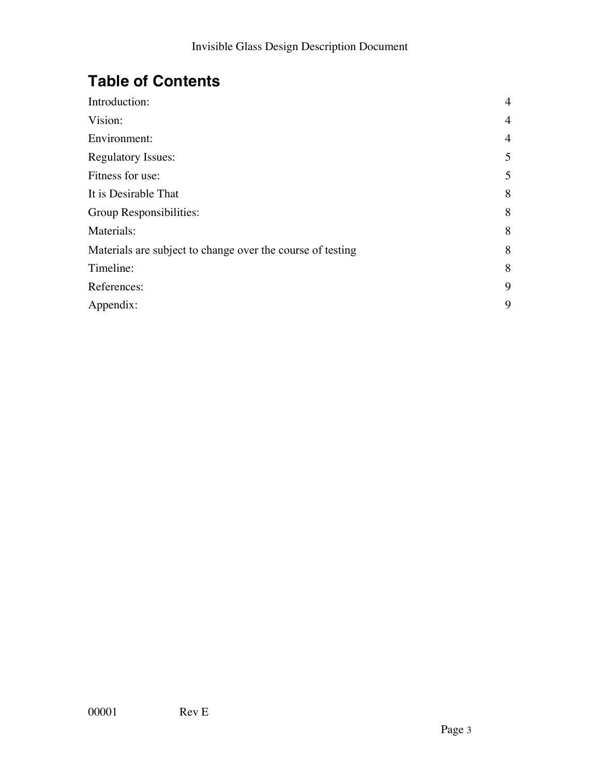## **Table of Contents**

| Introduction:                                              | $\overline{4}$ |
|------------------------------------------------------------|----------------|
| Vision:                                                    | $\overline{4}$ |
| Environment:                                               | $\overline{4}$ |
| <b>Regulatory Issues:</b>                                  | 5              |
| Fitness for use:                                           | 5              |
| It is Desirable That                                       | 8              |
| Group Responsibilities:                                    | 8              |
| Materials:                                                 | 8              |
| Materials are subject to change over the course of testing | 8              |
| Timeline:                                                  | 8              |
| References:                                                | 9              |
| Appendix:                                                  | 9              |
|                                                            |                |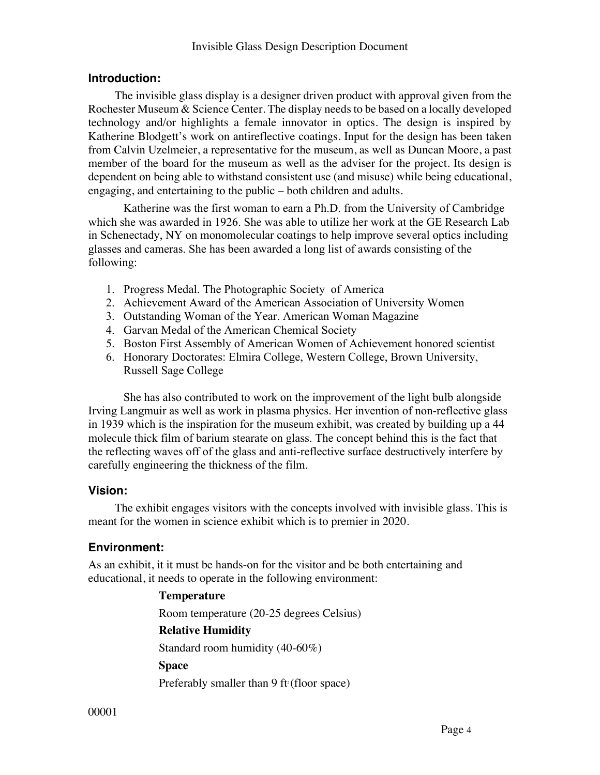#### **Introduction:**

The invisible glass display is a designer driven product with approval given from the Rochester Museum & Science Center. The display needs to be based on a locally developed technology and/or highlights a female innovator in optics. The design is inspired by Katherine Blodgett's work on antireflective coatings. Input for the design has been taken from Calvin Uzelmeier, a representative for the museum, as well as Duncan Moore, a past member of the board for the museum as well as the adviser for the project. Its design is dependent on being able to withstand consistent use (and misuse) while being educational, engaging, and entertaining to the public – both children and adults.

Katherine was the first woman to earn a Ph.D. from the University of Cambridge which she was awarded in 1926. She was able to utilize her work at the GE Research Lab in Schenectady, NY on monomolecular coatings to help improve several optics including glasses and cameras. She has been awarded a long list of awards consisting of the following:

- 1. Progress Medal. The Photographic Society of America
- 2. Achievement Award of the American Association of University Women
- 3. Outstanding Woman of the Year. American Woman Magazine
- 4. Garvan Medal of the American Chemical Society
- 5. Boston First Assembly of American Women of Achievement honored scientist
- 6. Honorary Doctorates: Elmira College, Western College, Brown University, Russell Sage College

She has also contributed to work on the improvement of the light bulb alongside Irving Langmuir as well as work in plasma physics. Her invention of non-reflective glass in 1939 which is the inspiration for the museum exhibit, was created by building up a 44 molecule thick film of barium stearate on glass. The concept behind this is the fact that the reflecting waves off of the glass and anti-reflective surface destructively interfere by carefully engineering the thickness of the film.

## **Vision:**

The exhibit engages visitors with the concepts involved with invisible glass. This is meant for the women in science exhibit which is to premier in 2020.

## **Environment:**

As an exhibit, it it must be hands-on for the visitor and be both entertaining and educational, it needs to operate in the following environment:

## **Temperature**

Room temperature (20-25 degrees Celsius) **Relative Humidity** Standard room humidity (40-60%) **Space** Preferably smaller than  $9$  ft<sup>2</sup> (floor space)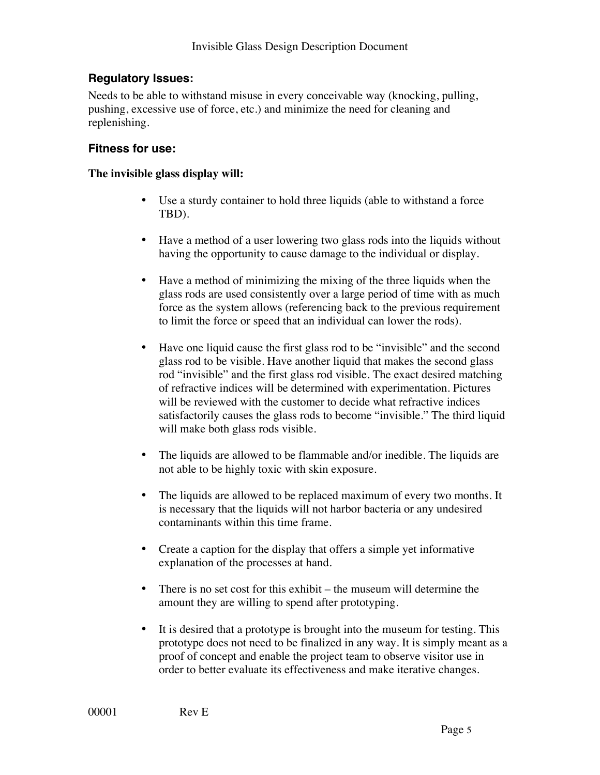## **Regulatory Issues:**

Needs to be able to withstand misuse in every conceivable way (knocking, pulling, pushing, excessive use of force, etc.) and minimize the need for cleaning and replenishing.

#### **Fitness for use:**

#### **The invisible glass display will:**

- Use a sturdy container to hold three liquids (able to withstand a force TBD).
- Have a method of a user lowering two glass rods into the liquids without having the opportunity to cause damage to the individual or display.
- Have a method of minimizing the mixing of the three liquids when the glass rods are used consistently over a large period of time with as much force as the system allows (referencing back to the previous requirement to limit the force or speed that an individual can lower the rods).
- Have one liquid cause the first glass rod to be "invisible" and the second glass rod to be visible. Have another liquid that makes the second glass rod "invisible" and the first glass rod visible. The exact desired matching of refractive indices will be determined with experimentation. Pictures will be reviewed with the customer to decide what refractive indices satisfactorily causes the glass rods to become "invisible." The third liquid will make both glass rods visible.
- The liquids are allowed to be flammable and/or inedible. The liquids are not able to be highly toxic with skin exposure.
- The liquids are allowed to be replaced maximum of every two months. It is necessary that the liquids will not harbor bacteria or any undesired contaminants within this time frame.
- Create a caption for the display that offers a simple yet informative explanation of the processes at hand.
- There is no set cost for this exhibit the museum will determine the amount they are willing to spend after prototyping.
- It is desired that a prototype is brought into the museum for testing. This prototype does not need to be finalized in any way. It is simply meant as a proof of concept and enable the project team to observe visitor use in order to better evaluate its effectiveness and make iterative changes.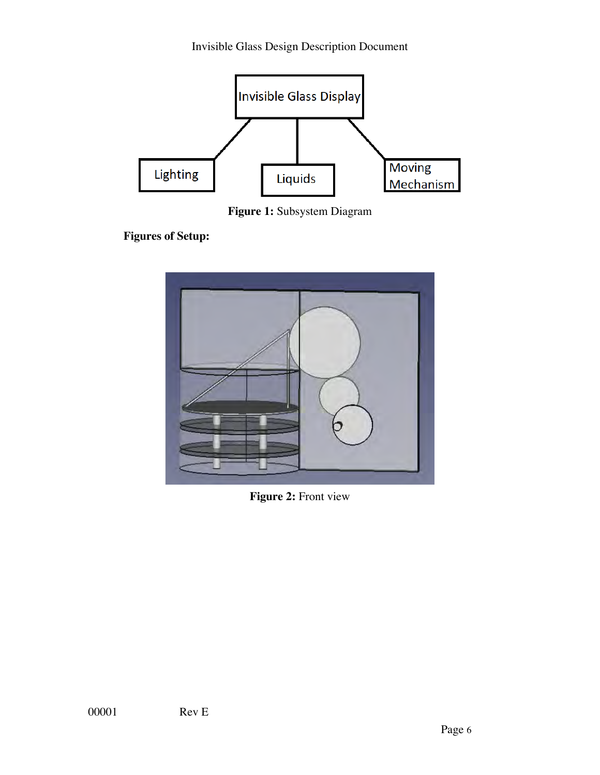

**Figure 1:** Subsystem Diagram

**Figures of Setup:**



**Figure 2:** Front view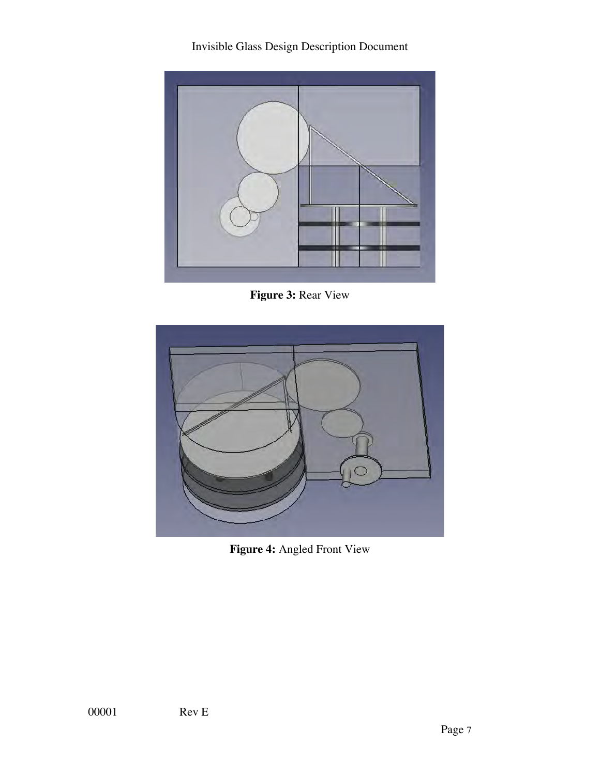Invisible Glass Design Description Document



**Figure 3:** Rear View



**Figure 4:** Angled Front View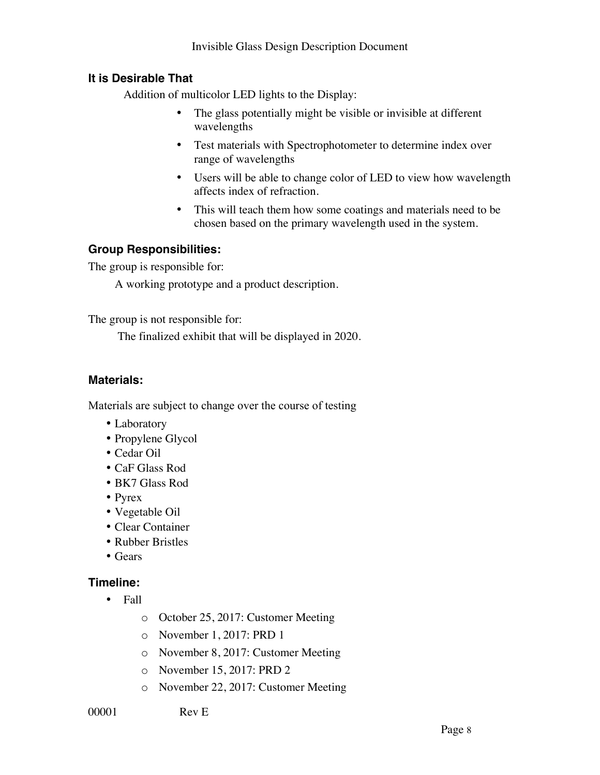## **It is Desirable That**

Addition of multicolor LED lights to the Display:

- The glass potentially might be visible or invisible at different wavelengths
- Test materials with Spectrophotometer to determine index over range of wavelengths
- Users will be able to change color of LED to view how wavelength affects index of refraction.
- This will teach them how some coatings and materials need to be chosen based on the primary wavelength used in the system.

## **Group Responsibilities:**

The group is responsible for:

A working prototype and a product description.

The group is not responsible for:

The finalized exhibit that will be displayed in 2020.

#### **Materials:**

Materials are subject to change over the course of testing

- Laboratory
- Propylene Glycol
- Cedar Oil
- CaF Glass Rod
- BK7 Glass Rod
- Pyrex
- Vegetable Oil
- Clear Container
- Rubber Bristles
- Gears

#### **Timeline:**

- Fall
	- o October 25, 2017: Customer Meeting
	- o November 1, 2017: PRD 1
	- o November 8, 2017: Customer Meeting
	- o November 15, 2017: PRD 2
	- o November 22, 2017: Customer Meeting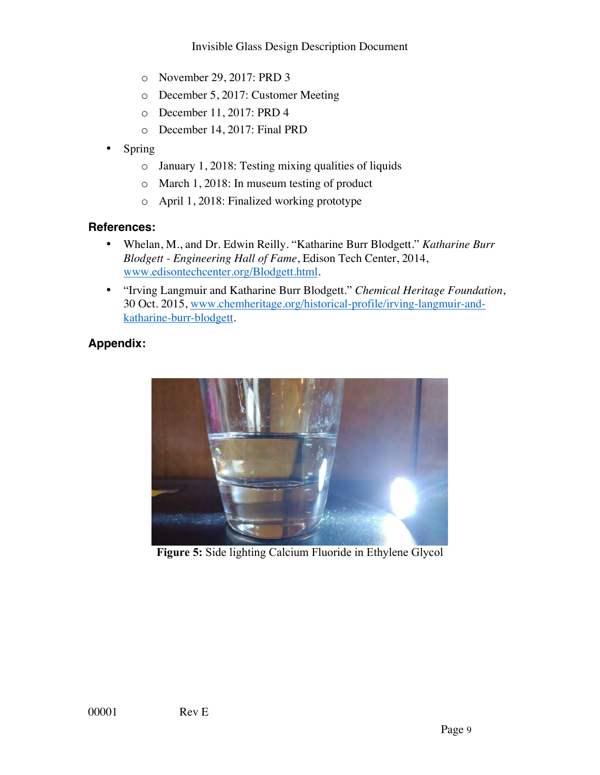- o November 29, 2017: PRD 3
- o December 5, 2017: Customer Meeting
- o December 11, 2017: PRD 4
- o December 14, 2017: Final PRD
- Spring
	- o January 1, 2018: Testing mixing qualities of liquids
	- o March 1, 2018: In museum testing of product
	- o April 1, 2018: Finalized working prototype

#### **References:**

- Whelan, M., and Dr. Edwin Reilly. "Katharine Burr Blodgett." *Katharine Burr Blodgett - Engineering Hall of Fame*, Edison Tech Center, 2014, www.edisontechcenter.org/Blodgett.html.
- "Irving Langmuir and Katharine Burr Blodgett." *Chemical Heritage Foundation*, 30 Oct. 2015, www.chemheritage.org/historical-profile/irving-langmuir-andkatharine-burr-blodgett.

## **Appendix:**



**Figure 5:** Side lighting Calcium Fluoride in Ethylene Glycol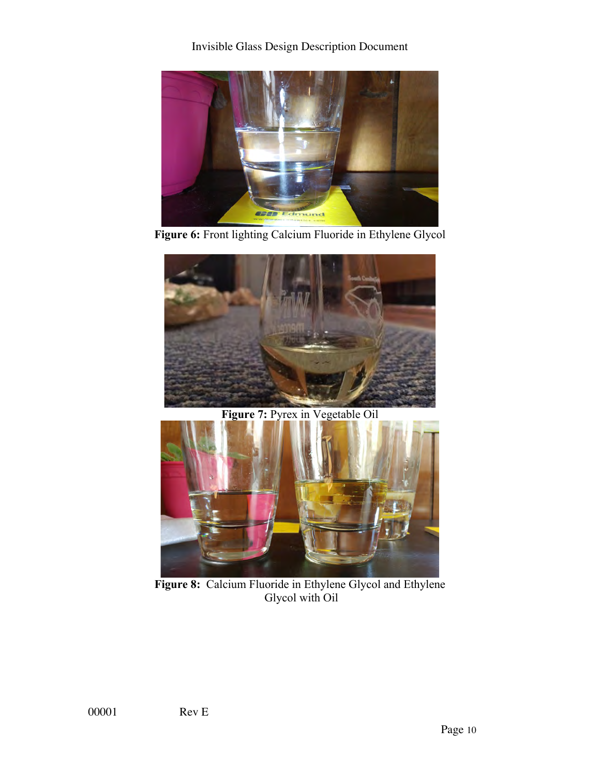Invisible Glass Design Description Document



**Figure 6:** Front lighting Calcium Fluoride in Ethylene Glycol



Figure 7: Pyrex in Vegetable Oil



**Figure 8:** Calcium Fluoride in Ethylene Glycol and Ethylene Glycol with Oil